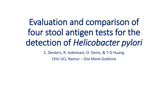# Evaluation and comparison of four stool antigen tests for the detection of *Helicobacter pylori*

C. Deckers, R. Soleimani, O. Denis, & T-D Huang

CHU UCL Namur – Site Mont-Godinne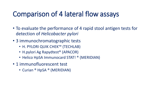## Comparison of 4 lateral flow assays

- To evaluate the performance of 4 rapid stool antigen tests for detection of *Helicobacter pylori*
- 3 immunochromatographic tests
	- H. PYLORI QUIK CHEK™ (TECHLAB)
	- H.pylori Ag Rapydtest<sup>®</sup> (APACOR)
	- Helico HpSA Immunocard STAT! ® (MERIDIAN)
- 1 immunofluorescent test
	- Curian ® HpSA ® (MERIDIAN)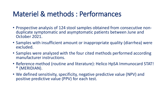# Materiel & methods : Performances

- Prospective analysis of 124 stool samples obtained from consecutive nonduplicate symptomatic and asymptomatic patients between June and October 2021.
- Samples with insufficient amount or inappropriate quality (diarrhea) were excluded.
- Samples were analyzed with the four cited methods performed according manufacturer instructions.
- Reference method (routine and literature): Helico HpSA Immunocard STAT! ® (MERIDIAN).
- We defined sensitivity, specificity, negative predictive value (NPV) and positive predictive value (PPV) for each test.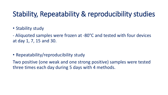#### Stability, Repeatability & reproducibility studies

• Stability study

- Aliquoted samples were frozen at -80°C and tested with four devices at day 1, 7, 15 and 30.

• Repeatability/reproducibility study

Two positive (one weak and one strong positive) samples were tested three times each day during 5 days with 4 methods.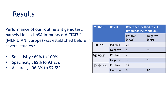#### Results

Performance of our routine antigenic test, namely Helico HpSA Immunocard STAT! ® (MERIDIAN, Europe) was established before in several studies :

- Sensitivity : 69% to 100%.
- Specificity : 89% to 93.2%.
- Accuracy : 96.3% to 97.5%.

| <b>Methods</b> | <b>Result</b>   | <b>Reference method result</b><br>(ImmunoSTAT Meridian) |                             |
|----------------|-----------------|---------------------------------------------------------|-----------------------------|
|                |                 | <b>Positive</b><br>$(n=28)$                             | <b>Negative</b><br>$(n=96)$ |
| Curian         | <b>Positive</b> | 24                                                      |                             |
|                | <b>Negative</b> | 4                                                       | 96                          |
| Apacor         | <b>Positive</b> | 25                                                      |                             |
|                | <b>Negative</b> | 3                                                       | 96                          |
| Techlab        | <b>Positive</b> | 22                                                      |                             |
|                | <b>Negative</b> | 6                                                       | 96                          |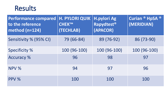#### Results

| <b>Performance compared</b><br>to the reference<br>method (n=124) | <b>H. PYLORI QUIK</b><br><b>CHEK™</b><br>(TECHLAB) | <b>H.pylori Ag</b><br>Rapydtest <sup>®</sup><br>(APACOR) | <b>Curian ® HpSA ®</b><br>(MERIDIAN) |
|-------------------------------------------------------------------|----------------------------------------------------|----------------------------------------------------------|--------------------------------------|
| Sensitivity % (95% CI)                                            | 79 (66-84)                                         | 89 (76-92)                                               | 86 (73-90)                           |
| <b>Specificity %</b>                                              | 100 (96-100)                                       | 100 (96-100)                                             | 100 (96-100)                         |
| <b>Accuracy %</b>                                                 | 96                                                 | 98                                                       | 97                                   |
| NPV %                                                             | 94                                                 | 97                                                       | 96                                   |
| PPV %                                                             | 100                                                | 100                                                      | 100                                  |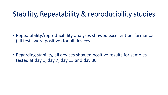#### Stability, Repeatability & reproducibility studies

- Repeatability/reproducibility analyses showed excellent performance (all tests were positive) for all devices.
- Regarding stability, all devices showed positive results for samples tested at day 1, day 7, day 15 and day 30.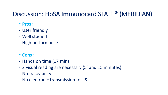#### Discussion: HpSA Immunocard STAT! ® (MERIDIAN)

- **Pros :**
- User friendly
- Well studied
- High performance
- **Cons :**
- Hands on time (17 min)
- 2 visual reading are necessary (5' and 15 minutes)
- No traceability
- No electronic transmission to LIS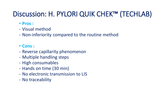# Discussion: H. PYLORI QUIK CHEK™ (TECHLAB)

- **Pros :**
- Visual method
- Non-inferiority compared to the routine method
- **Cons :**
- Reverse capillarity phenomenon
- Multiple handling steps
- High consumables
- Hands on time (30 min)
- No electronic transmission to LIS
- No traceability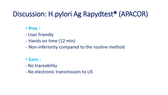# Discussion: H.pylori Ag Rapydtest® (APACOR)

#### • **Pros :**

- User friendly
- Hands on time (12 min)
- Non-inferiority compared to the routine method
- **Cons :**
- No traceability
- No electronic transmission to LIS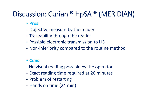## Discussion: Curian ® HpSA ® (MERIDIAN)

- **Pros:**
- Objective measure by the reader
- Traceability through the reader
- Possible electronic transmission to LIS
- Non-inferiority compared to the routine method

#### • **Cons:**

- No visual reading possible by the operator
- Exact reading time required at 20 minutes
- Problem of restarting
- Hands on time (24 min)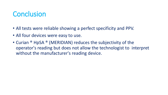#### **Conclusion**

- All tests were reliable showing a perfect specificity and PPV.
- All four devices were easy to use.
- Curian ® HpSA ® (MERIDIAN) reduces the subjectivity of the operator's reading but does not allow the technologist to interpret without the manufacturer's reading device.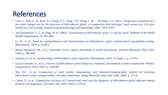### References

- Choi, J., Kim, C. H., Kim, D., Chung, S. J., Song, J. H., Kang, J. M., ... & Song, I. S. (2011). *Prospective evaluation of a* new stool antigen test for the detection of Helicobacter pylori, in comparison with histology, rapid urease test, 13C-urea *breath test, and serology.* Journal of gastroenterology and hepatology, 26(6), 1053-1059.
- Van Duynhoven, Y. T., & Jonge, R. D. (2001). *Transmission of Helicobacter pylori: a role for food?*. Bulletin of the World Health Organization, 79, 455-460.
- Li, H., et al., *Need for standardization and harmonization of Helicobacter pylori antimicrobial susceptibility testing.* Helicobacter, 2022: p. e12873.
- Rajilic-Stojanovic, M., et al., *Systematic review: gastric microbiota in health and disease.* Aliment Pharmacol Ther, 2020. 51(6): p. 582-602.
- Sjomina, O., et al., *Epidemiology of Helicobacter pylori infection.* Helicobacter, 2018. 23 Suppl 1: p. e12514.
- Garza-Gonzalez, E., et al., *A review of Helicobacter pylori diagnosis, treatment, and methods to detect eradication.* World J Gastroenterol, 2014. 20(6): p. 1438-49.
- Wu, D.C., et al., *Comparison of stool enzyme immunoassay and immunochromatographic method for detecting Helicobacter pylori antigens before and after eradication.* Diagn Microbiol Infect Dis, 2006. 56(4): p. 373-8.
- Calvet, X., et al., *Comparative accuracy of 3 monoclonal stool tests for diagnosis of Helicobacter pylori infection among patients with dyspepsia.* Clin Infect Dis, 2010. 50(3): p. 323-8.